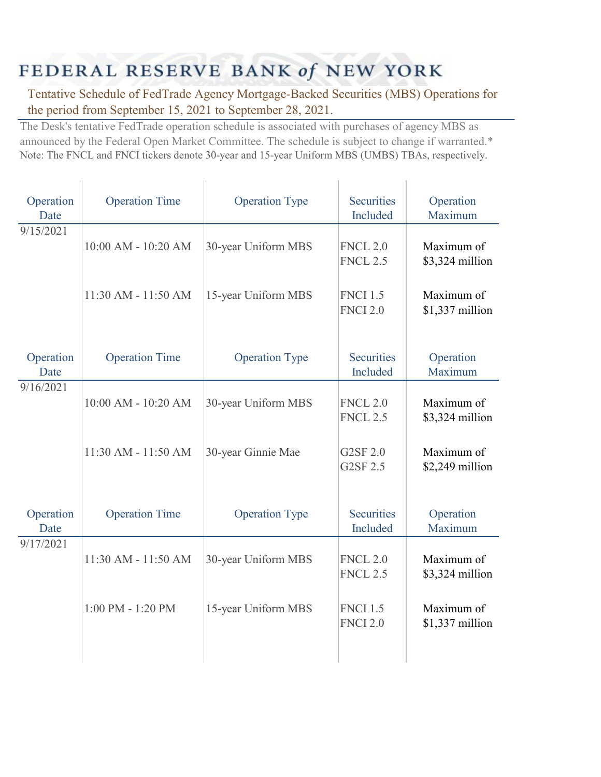## FEDERAL RESERVE BANK of NEW YORK

Tentative Schedule of FedTrade Agency Mortgage-Backed Securities (MBS) Operations for the period from September 15, 2021 to September 28, 2021.

The Desk's tentative FedTrade operation schedule is associated with purchases of agency MBS as announced by the Federal Open Market Committee. The schedule is subject to change if warranted.\* Note: The FNCL and FNCI tickers denote 30-year and 15-year Uniform MBS (UMBS) TBAs, respectively.

| Operation<br>Date | <b>Operation Time</b> | <b>Operation Type</b> | <b>Securities</b><br>Included      | Operation<br>Maximum          |
|-------------------|-----------------------|-----------------------|------------------------------------|-------------------------------|
| 9/15/2021         | 10:00 AM - 10:20 AM   | 30-year Uniform MBS   | <b>FNCL 2.0</b><br><b>FNCL 2.5</b> | Maximum of<br>\$3,324 million |
|                   | 11:30 AM - 11:50 AM   | 15-year Uniform MBS   | <b>FNCI 1.5</b><br><b>FNCI 2.0</b> | Maximum of<br>\$1,337 million |
| Operation<br>Date | <b>Operation Time</b> | <b>Operation Type</b> | <b>Securities</b><br>Included      | Operation<br>Maximum          |
| 9/16/2021         | 10:00 AM - 10:20 AM   | 30-year Uniform MBS   | <b>FNCL 2.0</b><br><b>FNCL 2.5</b> | Maximum of<br>\$3,324 million |
|                   | 11:30 AM - 11:50 AM   | 30-year Ginnie Mae    | G2SF 2.0<br>G2SF 2.5               | Maximum of<br>\$2,249 million |
| Operation<br>Date | <b>Operation Time</b> | <b>Operation Type</b> | <b>Securities</b><br>Included      | Operation<br>Maximum          |
| 9/17/2021         | 11:30 AM - 11:50 AM   | 30-year Uniform MBS   | <b>FNCL 2.0</b><br><b>FNCL 2.5</b> | Maximum of<br>\$3,324 million |
|                   | 1:00 PM - 1:20 PM     | 15-year Uniform MBS   | <b>FNCI 1.5</b><br><b>FNCI 2.0</b> | Maximum of<br>\$1,337 million |
|                   |                       |                       |                                    |                               |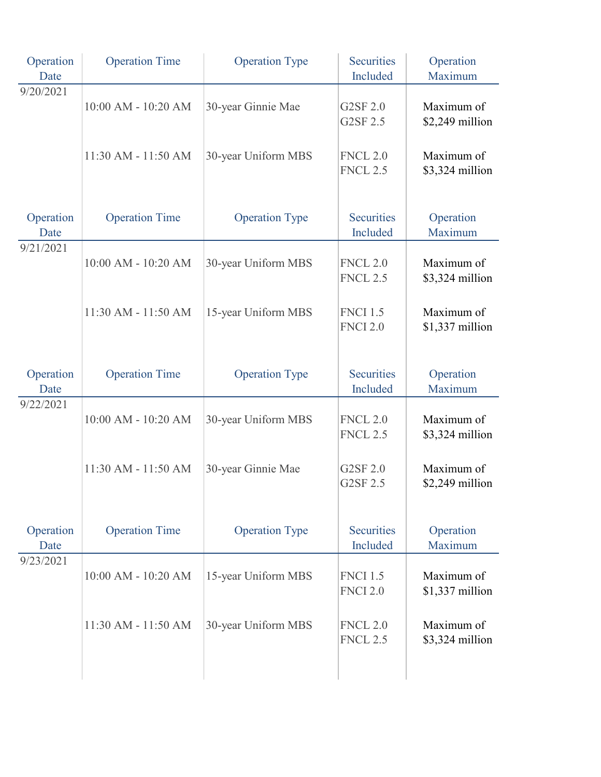| Operation<br>Date | <b>Operation Time</b> | <b>Operation Type</b> | <b>Securities</b><br>Included      | Operation<br>Maximum           |
|-------------------|-----------------------|-----------------------|------------------------------------|--------------------------------|
| 9/20/2021         | 10:00 AM - 10:20 AM   | 30-year Ginnie Mae    | G2SF 2.0<br>G2SF 2.5               | Maximum of<br>\$2,249 million  |
|                   | 11:30 AM - 11:50 AM   | 30-year Uniform MBS   | <b>FNCL 2.0</b><br><b>FNCL 2.5</b> | Maximum of<br>\$3,324 million  |
| Operation<br>Date | <b>Operation Time</b> | <b>Operation Type</b> | <b>Securities</b><br>Included      | Operation<br>Maximum           |
| 9/21/2021         | 10:00 AM - 10:20 AM   | 30-year Uniform MBS   | <b>FNCL 2.0</b><br><b>FNCL 2.5</b> | Maximum of<br>\$3,324 million  |
|                   | 11:30 AM - 11:50 AM   | 15-year Uniform MBS   | <b>FNCI 1.5</b><br><b>FNCI 2.0</b> | Maximum of<br>\$1,337 million  |
| Operation<br>Date | <b>Operation Time</b> | <b>Operation Type</b> | <b>Securities</b><br>Included      | Operation<br>Maximum           |
| 9/22/2021         | 10:00 AM - 10:20 AM   | 30-year Uniform MBS   | <b>FNCL 2.0</b><br><b>FNCL 2.5</b> | Maximum of<br>\$3,324 million  |
|                   | 11:30 AM - 11:50 AM   | 30-year Ginnie Mae    | G2SF 2.0<br>G2SF 2.5               | Maximum of<br>\$2,249 million  |
| Operation<br>Date | <b>Operation Time</b> | <b>Operation Type</b> | <b>Securities</b><br>Included      | Operation<br>Maximum           |
| 9/23/2021         | 10:00 AM - 10:20 AM   | 15-year Uniform MBS   | <b>FNCI 1.5</b><br><b>FNCI 2.0</b> | Maximum of<br>\$1,337 million  |
|                   | 11:30 AM - 11:50 AM   | 30-year Uniform MBS   | <b>FNCL 2.0</b><br><b>FNCL 2.5</b> | Maximum of<br>$$3,324$ million |
|                   |                       |                       |                                    |                                |